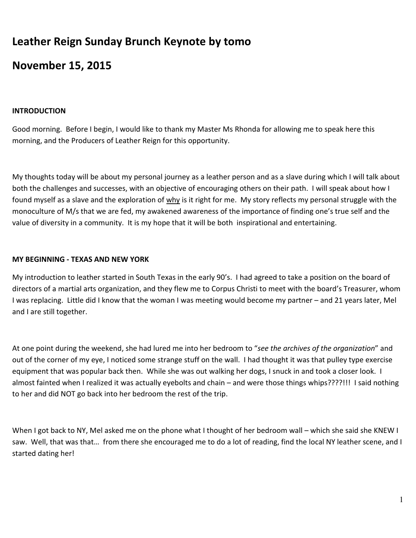# Leather Reign Sunday Brunch Keynote by tomo

# November 15, 2015

#### INTRODUCTION

Good morning. Before I begin, I would like to thank my Master Ms Rhonda for allowing me to speak here this morning, and the Producers of Leather Reign for this opportunity.

My thoughts today will be about my personal journey as a leather person and as a slave during which I will talk about both the challenges and successes, with an objective of encouraging others on their path. I will speak about how I found myself as a slave and the exploration of why is it right for me. My story reflects my personal struggle with the monoculture of M/s that we are fed, my awakened awareness of the importance of finding one's true self and the value of diversity in a community. It is my hope that it will be both inspirational and entertaining.

## MY BEGINNING - TEXAS AND NEW YORK

My introduction to leather started in South Texas in the early 90's. I had agreed to take a position on the board of directors of a martial arts organization, and they flew me to Corpus Christi to meet with the board's Treasurer, whom I was replacing. Little did I know that the woman I was meeting would become my partner – and 21 years later, Mel and I are still together.

At one point during the weekend, she had lured me into her bedroom to "see the archives of the organization" and out of the corner of my eye, I noticed some strange stuff on the wall. I had thought it was that pulley type exercise equipment that was popular back then. While she was out walking her dogs, I snuck in and took a closer look. I almost fainted when I realized it was actually eyebolts and chain – and were those things whips????!!! I said nothing to her and did NOT go back into her bedroom the rest of the trip.

When I got back to NY, Mel asked me on the phone what I thought of her bedroom wall – which she said she KNEW I saw. Well, that was that… from there she encouraged me to do a lot of reading, find the local NY leather scene, and I started dating her!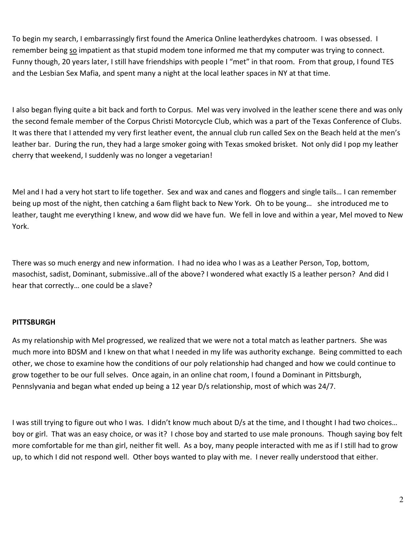To begin my search, I embarrassingly first found the America Online leatherdykes chatroom. I was obsessed. I remember being so impatient as that stupid modem tone informed me that my computer was trying to connect. Funny though, 20 years later, I still have friendships with people I "met" in that room. From that group, I found TES and the Lesbian Sex Mafia, and spent many a night at the local leather spaces in NY at that time.

I also began flying quite a bit back and forth to Corpus. Mel was very involved in the leather scene there and was only the second female member of the Corpus Christi Motorcycle Club, which was a part of the Texas Conference of Clubs. It was there that I attended my very first leather event, the annual club run called Sex on the Beach held at the men's leather bar. During the run, they had a large smoker going with Texas smoked brisket. Not only did I pop my leather cherry that weekend, I suddenly was no longer a vegetarian!

Mel and I had a very hot start to life together. Sex and wax and canes and floggers and single tails… I can remember being up most of the night, then catching a 6am flight back to New York. Oh to be young… she introduced me to leather, taught me everything I knew, and wow did we have fun. We fell in love and within a year, Mel moved to New York.

There was so much energy and new information. I had no idea who I was as a Leather Person, Top, bottom, masochist, sadist, Dominant, submissive..all of the above? I wondered what exactly IS a leather person? And did I hear that correctly… one could be a slave?

## **PITTSBURGH**

As my relationship with Mel progressed, we realized that we were not a total match as leather partners. She was much more into BDSM and I knew on that what I needed in my life was authority exchange. Being committed to each other, we chose to examine how the conditions of our poly relationship had changed and how we could continue to grow together to be our full selves. Once again, in an online chat room, I found a Dominant in Pittsburgh, Pennslyvania and began what ended up being a 12 year D/s relationship, most of which was 24/7.

I was still trying to figure out who I was. I didn't know much about D/s at the time, and I thought I had two choices… boy or girl. That was an easy choice, or was it? I chose boy and started to use male pronouns. Though saying boy felt more comfortable for me than girl, neither fit well. As a boy, many people interacted with me as if I still had to grow up, to which I did not respond well. Other boys wanted to play with me. I never really understood that either.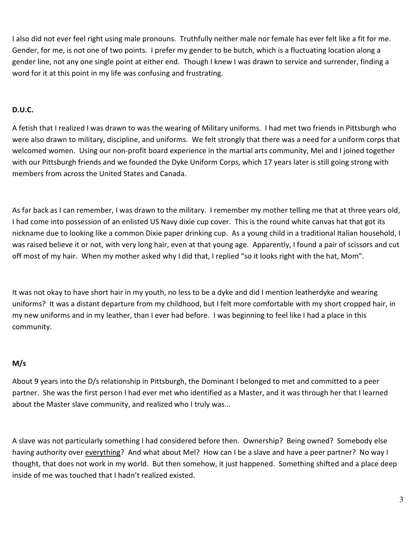I also did not ever feel right using male pronouns. Truthfully neither male nor female has ever felt like a fit for me. Gender, for me, is not one of two points. I prefer my gender to be butch, which is a fluctuating location along a gender line, not any one single point at either end. Though I knew I was drawn to service and surrender, finding a word for it at this point in my life was confusing and frustrating.

# D.U.C.

A fetish that I realized I was drawn to was the wearing of Military uniforms. I had met two friends in Pittsburgh who were also drawn to military, discipline, and uniforms. We felt strongly that there was a need for a uniform corps that welcomed women. Using our non-profit board experience in the martial arts community, Mel and I joined together with our Pittsburgh friends and we founded the Dyke Uniform Corps, which 17 years later is still going strong with members from across the United States and Canada.

As far back as I can remember, I was drawn to the military. I remember my mother telling me that at three years old, I had come into possession of an enlisted US Navy dixie cup cover. This is the round white canvas hat that got its nickname due to looking like a common Dixie paper drinking cup. As a young child in a traditional Italian household, I was raised believe it or not, with very long hair, even at that young age. Apparently, I found a pair of scissors and cut off most of my hair. When my mother asked why I did that, I replied "so it looks right with the hat, Mom".

It was not okay to have short hair in my youth, no less to be a dyke and did I mention leatherdyke and wearing uniforms? It was a distant departure from my childhood, but I felt more comfortable with my short cropped hair, in my new uniforms and in my leather, than I ever had before. I was beginning to feel like I had a place in this community.

# M/s

About 9 years into the D/s relationship in Pittsburgh, the Dominant I belonged to met and committed to a peer partner. She was the first person I had ever met who identified as a Master, and it was through her that I learned about the Master slave community, and realized who I truly was...

A slave was not particularly something I had considered before then. Ownership? Being owned? Somebody else having authority over everything? And what about Mel? How can I be a slave and have a peer partner? No way I thought, that does not work in my world. But then somehow, it just happened. Something shifted and a place deep inside of me was touched that I hadn't realized existed.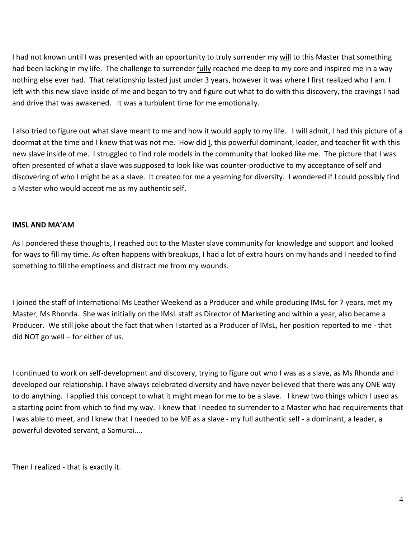I had not known until I was presented with an opportunity to truly surrender my will to this Master that something had been lacking in my life. The challenge to surrender fully reached me deep to my core and inspired me in a way nothing else ever had. That relationship lasted just under 3 years, however it was where I first realized who I am. I left with this new slave inside of me and began to try and figure out what to do with this discovery, the cravings I had and drive that was awakened. It was a turbulent time for me emotionally.

I also tried to figure out what slave meant to me and how it would apply to my life. I will admit, I had this picture of a doormat at the time and I knew that was not me. How did I, this powerful dominant, leader, and teacher fit with this new slave inside of me. I struggled to find role models in the community that looked like me. The picture that I was often presented of what a slave was supposed to look like was counter-productive to my acceptance of self and discovering of who I might be as a slave. It created for me a yearning for diversity. I wondered if I could possibly find a Master who would accept me as my authentic self.

## IMSL AND MA'AM

As I pondered these thoughts, I reached out to the Master slave community for knowledge and support and looked for ways to fill my time. As often happens with breakups, I had a lot of extra hours on my hands and I needed to find something to fill the emptiness and distract me from my wounds.

I joined the staff of International Ms Leather Weekend as a Producer and while producing IMsL for 7 years, met my Master, Ms Rhonda. She was initially on the IMsL staff as Director of Marketing and within a year, also became a Producer. We still joke about the fact that when I started as a Producer of IMsL, her position reported to me - that did NOT go well – for either of us.

I continued to work on self-development and discovery, trying to figure out who I was as a slave, as Ms Rhonda and I developed our relationship. I have always celebrated diversity and have never believed that there was any ONE way to do anything. I applied this concept to what it might mean for me to be a slave. I knew two things which I used as a starting point from which to find my way. I knew that I needed to surrender to a Master who had requirements that I was able to meet, and I knew that I needed to be ME as a slave - my full authentic self - a dominant, a leader, a powerful devoted servant, a Samurai….

Then I realized - that is exactly it.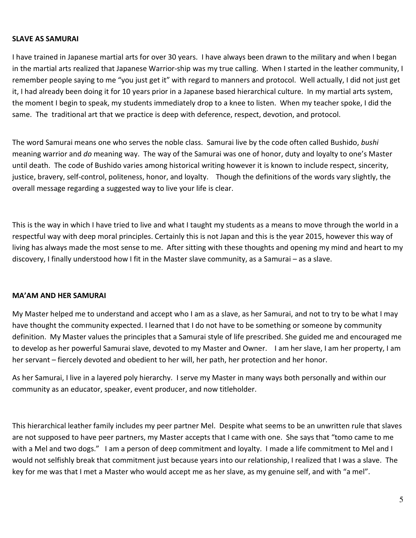#### SLAVE AS SAMURAI

I have trained in Japanese martial arts for over 30 years. I have always been drawn to the military and when I began in the martial arts realized that Japanese Warrior-ship was my true calling. When I started in the leather community, I remember people saying to me "you just get it" with regard to manners and protocol. Well actually, I did not just get it, I had already been doing it for 10 years prior in a Japanese based hierarchical culture. In my martial arts system, the moment I begin to speak, my students immediately drop to a knee to listen. When my teacher spoke, I did the same. The traditional art that we practice is deep with deference, respect, devotion, and protocol.

The word Samurai means one who serves the noble class. Samurai live by the code often called Bushido, bushi meaning warrior and do meaning way. The way of the Samurai was one of honor, duty and loyalty to one's Master until death. The code of Bushido varies among historical writing however it is known to include respect, sincerity, justice, bravery, self-control, politeness, honor, and loyalty. Though the definitions of the words vary slightly, the overall message regarding a suggested way to live your life is clear.

This is the way in which I have tried to live and what I taught my students as a means to move through the world in a respectful way with deep moral principles. Certainly this is not Japan and this is the year 2015, however this way of living has always made the most sense to me. After sitting with these thoughts and opening my mind and heart to my discovery, I finally understood how I fit in the Master slave community, as a Samurai – as a slave.

#### MA'AM AND HER SAMURAI

My Master helped me to understand and accept who I am as a slave, as her Samurai, and not to try to be what I may have thought the community expected. I learned that I do not have to be something or someone by community definition. My Master values the principles that a Samurai style of life prescribed. She guided me and encouraged me to develop as her powerful Samurai slave, devoted to my Master and Owner. I am her slave, I am her property, I am her servant – fiercely devoted and obedient to her will, her path, her protection and her honor.

As her Samurai, I live in a layered poly hierarchy. I serve my Master in many ways both personally and within our community as an educator, speaker, event producer, and now titleholder.

This hierarchical leather family includes my peer partner Mel. Despite what seems to be an unwritten rule that slaves are not supposed to have peer partners, my Master accepts that I came with one. She says that "tomo came to me with a Mel and two dogs." I am a person of deep commitment and loyalty. I made a life commitment to Mel and I would not selfishly break that commitment just because years into our relationship, I realized that I was a slave. The key for me was that I met a Master who would accept me as her slave, as my genuine self, and with "a mel".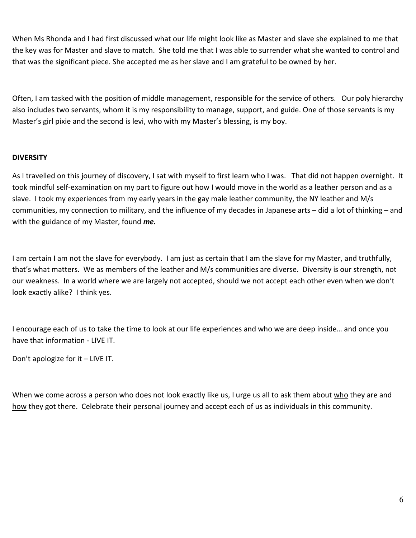When Ms Rhonda and I had first discussed what our life might look like as Master and slave she explained to me that the key was for Master and slave to match. She told me that I was able to surrender what she wanted to control and that was the significant piece. She accepted me as her slave and I am grateful to be owned by her.

Often, I am tasked with the position of middle management, responsible for the service of others. Our poly hierarchy also includes two servants, whom it is my responsibility to manage, support, and guide. One of those servants is my Master's girl pixie and the second is levi, who with my Master's blessing, is my boy.

# **DIVERSITY**

As I travelled on this journey of discovery, I sat with myself to first learn who I was. That did not happen overnight. It took mindful self-examination on my part to figure out how I would move in the world as a leather person and as a slave. I took my experiences from my early years in the gay male leather community, the NY leather and M/s communities, my connection to military, and the influence of my decades in Japanese arts – did a lot of thinking – and with the guidance of my Master, found me.

I am certain I am not the slave for everybody. I am just as certain that I am the slave for my Master, and truthfully, that's what matters. We as members of the leather and M/s communities are diverse. Diversity is our strength, not our weakness. In a world where we are largely not accepted, should we not accept each other even when we don't look exactly alike? I think yes.

I encourage each of us to take the time to look at our life experiences and who we are deep inside… and once you have that information - LIVE IT.

Don't apologize for it – LIVE IT.

When we come across a person who does not look exactly like us, I urge us all to ask them about who they are and how they got there. Celebrate their personal journey and accept each of us as individuals in this community.